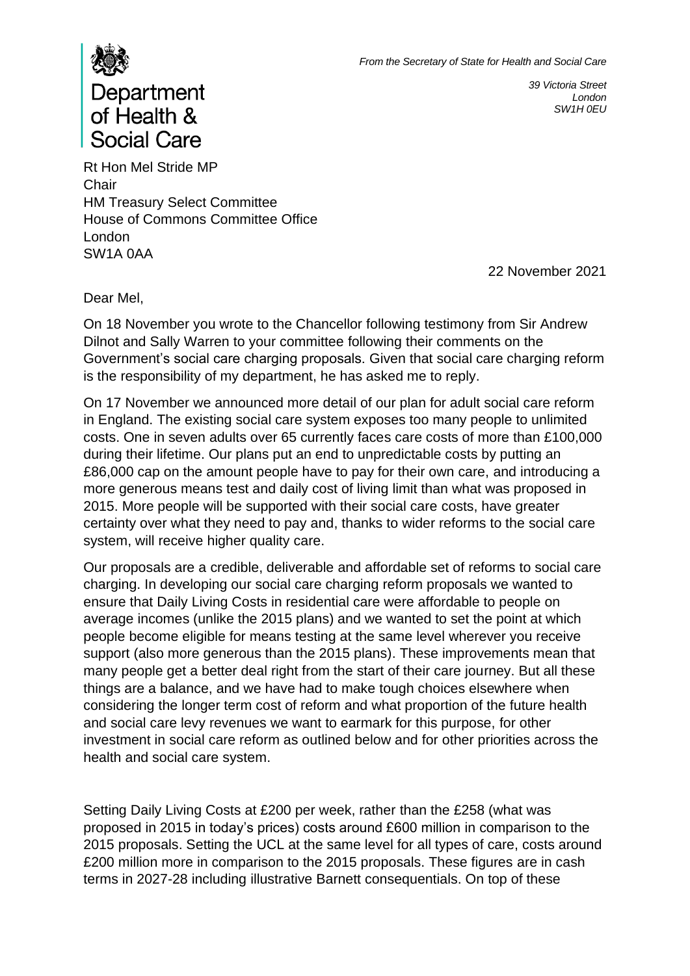

*39 Victoria Street London SW1H 0EU*

## Department of Health & **Social Care**

Rt Hon Mel Stride MP **Chair** HM Treasury Select Committee House of Commons Committee Office London SW1A 0AA

22 November 2021

Dear Mel,

On 18 November you wrote to the Chancellor following testimony from Sir Andrew Dilnot and Sally Warren to your committee following their comments on the Government's social care charging proposals. Given that social care charging reform is the responsibility of my department, he has asked me to reply.

On 17 November we announced more detail of our plan for adult social care reform in England. The existing social care system exposes too many people to unlimited costs. One in seven adults over 65 currently faces care costs of more than £100,000 during their lifetime. Our plans put an end to unpredictable costs by putting an £86,000 cap on the amount people have to pay for their own care, and introducing a more generous means test and daily cost of living limit than what was proposed in 2015. More people will be supported with their social care costs, have greater certainty over what they need to pay and, thanks to wider reforms to the social care system, will receive higher quality care.

Our proposals are a credible, deliverable and affordable set of reforms to social care charging. In developing our social care charging reform proposals we wanted to ensure that Daily Living Costs in residential care were affordable to people on average incomes (unlike the 2015 plans) and we wanted to set the point at which people become eligible for means testing at the same level wherever you receive support (also more generous than the 2015 plans). These improvements mean that many people get a better deal right from the start of their care journey. But all these things are a balance, and we have had to make tough choices elsewhere when considering the longer term cost of reform and what proportion of the future health and social care levy revenues we want to earmark for this purpose, for other investment in social care reform as outlined below and for other priorities across the health and social care system.

Setting Daily Living Costs at £200 per week, rather than the £258 (what was proposed in 2015 in today's prices) costs around £600 million in comparison to the 2015 proposals. Setting the UCL at the same level for all types of care, costs around £200 million more in comparison to the 2015 proposals. These figures are in cash terms in 2027-28 including illustrative Barnett consequentials. On top of these